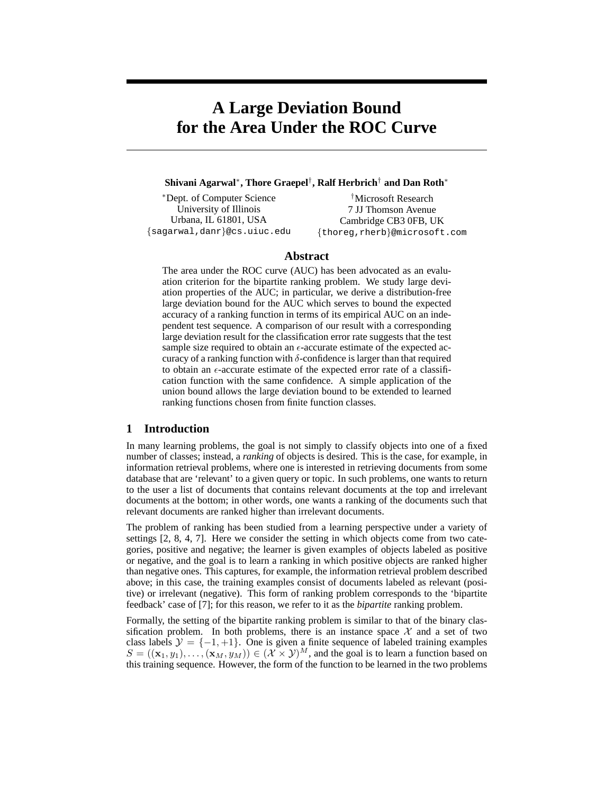# **A Large Deviation Bound for the Area Under the ROC Curve**

## **Shivani Agarwal**<sup>∗</sup> **, Thore Graepel**† **, Ralf Herbrich**† **and Dan Roth**<sup>∗</sup>

<sup>∗</sup>Dept. of Computer Science University of Illinois Urbana, IL 61801, USA {sagarwal,danr}@cs.uiuc.edu

†Microsoft Research 7 JJ Thomson Avenue Cambridge CB3 0FB, UK {thoreg,rherb}@microsoft.com

#### **Abstract**

The area under the ROC curve (AUC) has been advocated as an evaluation criterion for the bipartite ranking problem. We study large deviation properties of the AUC; in particular, we derive a distribution-free large deviation bound for the AUC which serves to bound the expected accuracy of a ranking function in terms of its empirical AUC on an independent test sequence. A comparison of our result with a corresponding large deviation result for the classification error rate suggests that the test sample size required to obtain an  $\epsilon$ -accurate estimate of the expected accuracy of a ranking function with  $\delta$ -confidence is larger than that required to obtain an  $\epsilon$ -accurate estimate of the expected error rate of a classification function with the same confidence. A simple application of the union bound allows the large deviation bound to be extended to learned ranking functions chosen from finite function classes.

## **1 Introduction**

In many learning problems, the goal is not simply to classify objects into one of a fixed number of classes; instead, a *ranking* of objects is desired. This is the case, for example, in information retrieval problems, where one is interested in retrieving documents from some database that are 'relevant' to a given query or topic. In such problems, one wants to return to the user a list of documents that contains relevant documents at the top and irrelevant documents at the bottom; in other words, one wants a ranking of the documents such that relevant documents are ranked higher than irrelevant documents.

The problem of ranking has been studied from a learning perspective under a variety of settings [2, 8, 4, 7]. Here we consider the setting in which objects come from two categories, positive and negative; the learner is given examples of objects labeled as positive or negative, and the goal is to learn a ranking in which positive objects are ranked higher than negative ones. This captures, for example, the information retrieval problem described above; in this case, the training examples consist of documents labeled as relevant (positive) or irrelevant (negative). This form of ranking problem corresponds to the 'bipartite feedback' case of [7]; for this reason, we refer to it as the *bipartite* ranking problem.

Formally, the setting of the bipartite ranking problem is similar to that of the binary classification problem. In both problems, there is an instance space  $\mathcal X$  and a set of two class labels  $\mathcal{Y} = \{-1, +1\}$ . One is given a finite sequence of labeled training examples  $S = ((\mathbf{x}_1, y_1), \ldots, (\mathbf{x}_M, y_M)) \in (\mathcal{X} \times \mathcal{Y})^M$ , and the goal is to learn a function based on this training sequence. However, the form of the function to be learned in the two problems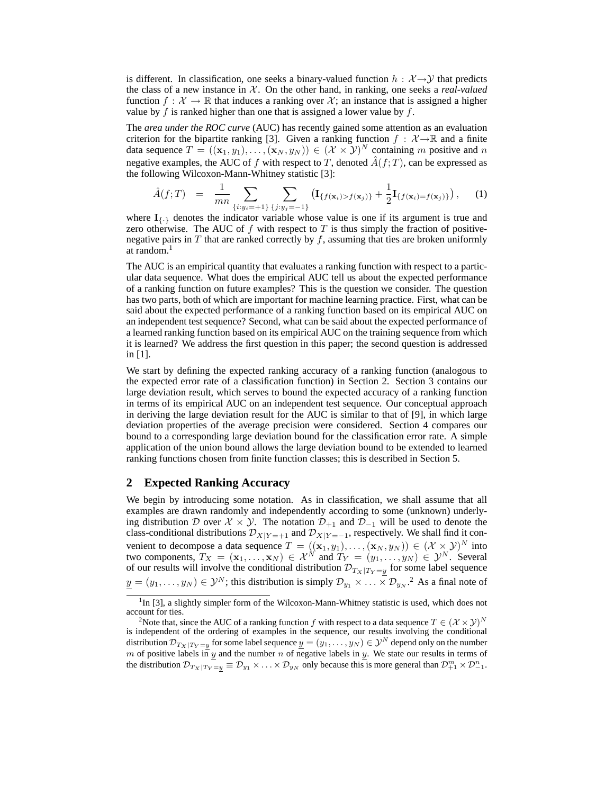is different. In classification, one seeks a binary-valued function  $h : \mathcal{X} \rightarrow \mathcal{Y}$  that predicts the class of a new instance in  $\mathcal{X}$ . On the other hand, in ranking, one seeks a *real-valued* function  $f : \mathcal{X} \to \mathbb{R}$  that induces a ranking over X; an instance that is assigned a higher value by f is ranked higher than one that is assigned a lower value by  $f$ .

The *area under the ROC curve* (AUC) has recently gained some attention as an evaluation criterion for the bipartite ranking [3]. Given a ranking function  $f : \mathcal{X} \rightarrow \mathbb{R}$  and a finite data sequence  $T = ((\mathbf{x}_1, y_1), \ldots, (\mathbf{x}_N, y_N)) \in (\mathcal{X} \times \mathcal{Y})^N$  containing m positive and n negative examples, the AUC of f with respect to T, denoted  $\hat{A}(f;T)$ , can be expressed as the following Wilcoxon-Mann-Whitney statistic [3]:

$$
\hat{A}(f;T) = \frac{1}{mn} \sum_{\{i:y_i = +1\}} \sum_{\{j:y_j = -1\}} \left( \mathbf{I}_{\{f(\mathbf{x}_i) > f(\mathbf{x}_j)\}} + \frac{1}{2} \mathbf{I}_{\{f(\mathbf{x}_i) = f(\mathbf{x}_j)\}} \right), \quad (1)
$$

where  $I_{\{\cdot\}}$  denotes the indicator variable whose value is one if its argument is true and zero otherwise. The AUC of f with respect to T is thus simply the fraction of positivenegative pairs in  $T$  that are ranked correctly by  $f$ , assuming that ties are broken uniformly at random.<sup>1</sup>

The AUC is an empirical quantity that evaluates a ranking function with respect to a particular data sequence. What does the empirical AUC tell us about the expected performance of a ranking function on future examples? This is the question we consider. The question has two parts, both of which are important for machine learning practice. First, what can be said about the expected performance of a ranking function based on its empirical AUC on an independent test sequence? Second, what can be said about the expected performance of a learned ranking function based on its empirical AUC on the training sequence from which it is learned? We address the first question in this paper; the second question is addressed in [1].

We start by defining the expected ranking accuracy of a ranking function (analogous to the expected error rate of a classification function) in Section 2. Section 3 contains our large deviation result, which serves to bound the expected accuracy of a ranking function in terms of its empirical AUC on an independent test sequence. Our conceptual approach in deriving the large deviation result for the AUC is similar to that of [9], in which large deviation properties of the average precision were considered. Section 4 compares our bound to a corresponding large deviation bound for the classification error rate. A simple application of the union bound allows the large deviation bound to be extended to learned ranking functions chosen from finite function classes; this is described in Section 5.

### **2 Expected Ranking Accuracy**

We begin by introducing some notation. As in classification, we shall assume that all examples are drawn randomly and independently according to some (unknown) underlying distribution D over  $X \times Y$ . The notation  $\mathcal{D}_{+1}$  and  $\mathcal{D}_{-1}$  will be used to denote the class-conditional distributions  $\mathcal{D}_{X|Y=+1}$  and  $\mathcal{D}_{X|Y=-1}$ , respectively. We shall find it convenient to decompose a data sequence  $T = ((\mathbf{x}_1, y_1), \dots, (\mathbf{x}_N, y_N)) \in (\mathcal{X} \times \mathcal{Y})^N$  into two components,  $T_X = (\mathbf{x}_1, \dots, \mathbf{x}_N) \in \mathcal{X}^N$  and  $T_Y = (y_1, \dots, y_N) \in \mathcal{Y}^N$ . Several of our results will involve the conditional distribution  $\mathcal{D}_{T_X|T_Y=y}$  for some label sequence  $y=(y_1,\ldots,y_N)\in{\cal Y}^N$ ; this distribution is simply  ${\cal D}_{y_1}\times\ldots\times{\cal D}_{y_N}$ .<sup>2</sup> As a final note of

<sup>&</sup>lt;sup>1</sup>In [3], a slightly simpler form of the Wilcoxon-Mann-Whitney statistic is used, which does not account for ties.

<sup>&</sup>lt;sup>2</sup>Note that, since the AUC of a ranking function f with respect to a data sequence  $T \in (\mathcal{X} \times \mathcal{Y})^N$ is independent of the ordering of examples in the sequence, our results involving the conditional distribution  $\mathcal{D}_{T_X|T_Y=\underline{y}}$  for some label sequence  $\underline{y}=(y_1,\ldots,y_N)\in\mathcal{Y}^N$  depend only on the number m of positive labels in y and the number n of negative labels in y. We state our results in terms of the distribution  $\mathcal{D}_{T_X|T_Y=y} = \mathcal{D}_{y_1} \times \ldots \times \mathcal{D}_{y_N}$  only because this is more general than  $\mathcal{D}_{+1}^m \times \mathcal{D}_{-1}^n$ .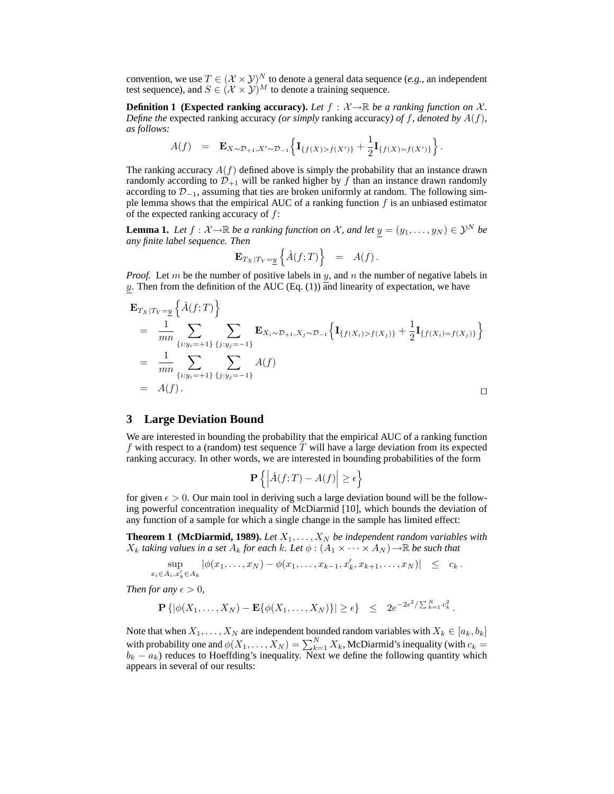convention, we use  $T \in (\mathcal{X} \times \mathcal{Y})^N$  to denote a general data sequence (*e.g.*, an independent test sequence), and  $S \in (\mathcal{X} \times \mathcal{Y})^M$  to denote a training sequence.

**Definition 1 (Expected ranking accuracy).** Let  $f : \mathcal{X} \rightarrow \mathbb{R}$  be a ranking function on  $\mathcal{X}$ . *Define the* expected ranking accuracy *(or simply* ranking accuracy*) of* f*, denoted by* A(f)*, as follows:*

$$
A(f) = \mathbf{E}_{X \sim \mathcal{D}_{+1}, X' \sim \mathcal{D}_{-1}} \Big\{ \mathbf{I}_{\{f(X) > f(X')\}} + \frac{1}{2} \mathbf{I}_{\{f(X) = f(X')\}} \Big\}.
$$

The ranking accuracy  $A(f)$  defined above is simply the probability that an instance drawn randomly according to  $\mathcal{D}_{+1}$  will be ranked higher by f than an instance drawn randomly according to  $\mathcal{D}_{-1}$ , assuming that ties are broken uniformly at random. The following simple lemma shows that the empirical AUC of a ranking function  $f$  is an unbiased estimator of the expected ranking accuracy of  $f$ :

**Lemma 1.** *Let*  $f : \mathcal{X} \to \mathbb{R}$  *be a ranking function on* X, and let  $\underline{y} = (y_1, \dots, y_N) \in \mathcal{Y}^N$  *be any finite label sequence. Then*

$$
\mathbf{E}_{T_X|T_Y=\underline{y}}\left\{\hat{A}(f;T)\right\} = A(f).
$$

*Proof.* Let  $m$  be the number of positive labels in  $y$ , and  $n$  the number of negative labels in y. Then from the definition of the AUC (Eq.  $(1)$ ) and linearity of expectation, we have

$$
\mathbf{E}_{T_X|T_Y=\underline{y}}\left\{\hat{A}(f;T)\right\}
$$
\n
$$
= \frac{1}{mn}\sum_{\{i:y_i = +1\}} \sum_{\{j:y_j = -1\}} \mathbf{E}_{X_i \sim \mathcal{D}_{+1}, X_j \sim \mathcal{D}_{-1}}\left\{\mathbf{I}_{\{f(X_i) > f(X_j)\}} + \frac{1}{2}\mathbf{I}_{\{f(X_i) = f(X_j)\}}\right\}
$$
\n
$$
= \frac{1}{mn}\sum_{\{i:y_i = +1\}} \sum_{\{j:y_j = -1\}} A(f)
$$
\n
$$
= A(f).
$$

# **3 Large Deviation Bound**

We are interested in bounding the probability that the empirical AUC of a ranking function f with respect to a (random) test sequence  $T$  will have a large deviation from its expected ranking accuracy. In other words, we are interested in bounding probabilities of the form

$$
\mathbf{P}\left\{ \left| \hat{A}(f;T) - A(f) \right| \ge \epsilon \right\}
$$

for given  $\epsilon > 0$ . Our main tool in deriving such a large deviation bound will be the following powerful concentration inequality of McDiarmid [10], which bounds the deviation of any function of a sample for which a single change in the sample has limited effect:

**Theorem 1 (McDiarmid, 1989).** Let  $X_1, \ldots, X_N$  be independent random variables with  $X_k$  *taking values in a set*  $A_k$  *for each k. Let*  $\phi$  :  $(A_1 \times \cdots \times A_N) \rightarrow \mathbb{R}$  *be such that* 

$$
\sup_{x_i \in A_i, x'_k \in A_k} |\phi(x_1, \ldots, x_N) - \phi(x_1, \ldots, x_{k-1}, x'_k, x_{k+1}, \ldots, x_N)| \leq c_k.
$$

*Then for any*  $\epsilon > 0$ *,* 

$$
\mathbf{P}\left\{|\phi(X_1,\ldots,X_N)-\mathbf{E}\{\phi(X_1,\ldots,X_N)\}|\geq \epsilon\right\} \leq 2e^{-2\epsilon^2/\sum_{k=1}^N c_k^2}.
$$

Note that when  $X_1, \ldots, X_N$  are independent bounded random variables with  $X_k \in [a_k, b_k]$ with probability one and  $\phi(X_1, \ldots, X_N) = \sum_{k=1}^N X_k$ , McDiarmid's inequality (with  $c_k =$  $b_k - a_k$ ) reduces to Hoeffding's inequality. Next we define the following quantity which appears in several of our results: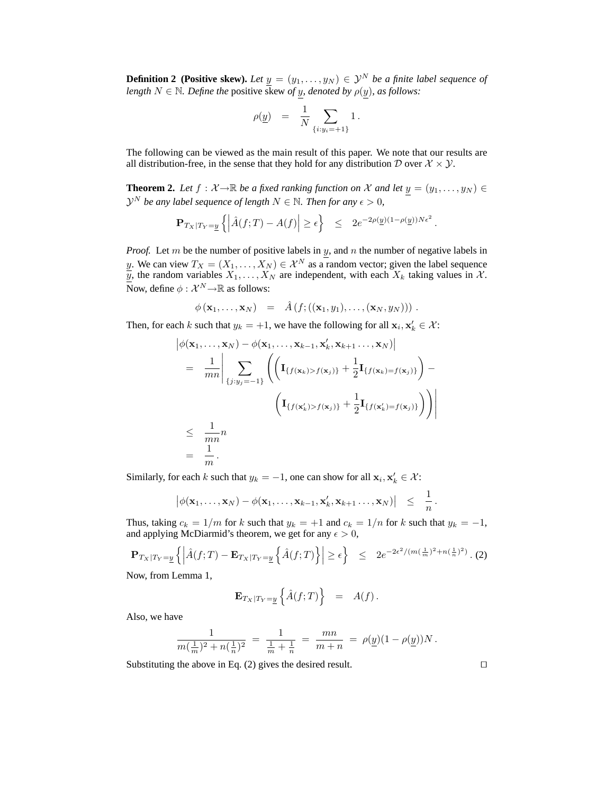**Definition 2 (Positive skew).** Let  $y = (y_1, \ldots, y_N) \in \mathcal{Y}^N$  be a finite label sequence of *length*  $N \in \mathbb{N}$ *. Define the* positive skew of y<sub>*,</sub>* denoted by  $\rho(\underline{y})$ *, as follows:*</sub>

$$
\rho(\underline{y})\ =\ \frac{1}{N}\sum_{\{i:y_i=+1\}}1\,.
$$

The following can be viewed as the main result of this paper. We note that our results are all distribution-free, in the sense that they hold for any distribution D over  $X \times Y$ .

**Theorem 2.** Let  $f : \mathcal{X} \to \mathbb{R}$  be a fixed ranking function on X and let  $y = (y_1, \ldots, y_N) \in$  $\mathcal{Y}^{N}$  be any label sequence of length  $N \in \mathbb{N}$ . Then for any  $\epsilon > 0$ ,

$$
\mathbf{P}_{T_X|T_Y=\underline{y}}\left\{ \left| \hat{A}(f;T) - A(f) \right| \ge \epsilon \right\} \le 2e^{-2\rho(\underline{y})(1-\rho(\underline{y}))N\epsilon^2}
$$

.

*Proof.* Let m be the number of positive labels in y, and n the number of negative labels in y. We can view  $T_X = (X_1, \ldots, X_N) \in \mathcal{X}^N$  as a random vector; given the label sequence  $\overline{y}$ , the random variables  $X_1, \ldots, X_N$  are independent, with each  $X_k$  taking values in X. Now, define  $\phi : \mathcal{X}^N {\rightarrow} \mathbb{R}$  as follows:

$$
\phi(\mathbf{x}_1,\ldots,\mathbf{x}_N) = \hat{A}(f;((\mathbf{x}_1,y_1),\ldots,(\mathbf{x}_N,y_N)))
$$

Then, for each k such that  $y_k = +1$ , we have the following for all  $\mathbf{x}_i, \mathbf{x}'_k \in \mathcal{X}$ :

$$
\left| \phi(\mathbf{x}_1, \dots, \mathbf{x}_N) - \phi(\mathbf{x}_1, \dots, \mathbf{x}_{k-1}, \mathbf{x}'_k, \mathbf{x}_{k+1}, \dots, \mathbf{x}_N) \right|
$$
\n
$$
= \frac{1}{mn} \Bigg| \sum_{\{j:y_j=-1\}} \left( \left( \mathbf{I}_{\{f(\mathbf{x}_k) > f(\mathbf{x}_j)\}} + \frac{1}{2} \mathbf{I}_{\{f(\mathbf{x}_k) = f(\mathbf{x}_j)\}} \right) - \left( \mathbf{I}_{\{f(\mathbf{x}'_k) > f(\mathbf{x}_j)\}} + \frac{1}{2} \mathbf{I}_{\{f(\mathbf{x}'_k) = f(\mathbf{x}_j)\}} \right) \right) \Bigg|
$$
\n
$$
\leq \frac{1}{mn} n
$$
\n
$$
= \frac{1}{m}.
$$

Similarly, for each k such that  $y_k = -1$ , one can show for all  $\mathbf{x}_i, \mathbf{x}'_k \in \mathcal{X}$ :

$$
|\phi(\mathbf{x}_1,\ldots,\mathbf{x}_N)-\phi(\mathbf{x}_1,\ldots,\mathbf{x}_{k-1},\mathbf{x}'_k,\mathbf{x}_{k+1}\ldots,\mathbf{x}_N)| \leq \frac{1}{n}.
$$

Thus, taking  $c_k = 1/m$  for k such that  $y_k = +1$  and  $c_k = 1/n$  for k such that  $y_k = -1$ , and applying McDiarmid's theorem, we get for any  $\epsilon > 0$ ,

$$
\mathbf{P}_{Tx|T_Y=\underline{y}}\left\{ \left| \hat{A}(f;T) - \mathbf{E}_{Tx|T_Y=\underline{y}}\left\{ \hat{A}(f;T) \right\} \right| \geq \epsilon \right\} \leq 2e^{-2\epsilon^2/(m(\frac{1}{m})^2+n(\frac{1}{n})^2)}.
$$
 (2)

Now, from Lemma 1,

$$
\mathbf{E}_{T_X|T_Y=\underline{y}}\left\{\hat{A}(f;T)\right\} = A(f).
$$

Also, we have

$$
\frac{1}{m(\frac{1}{m})^2 + n(\frac{1}{n})^2} = \frac{1}{\frac{1}{m} + \frac{1}{n}} = \frac{mn}{m+n} = \rho(\underline{y})(1 - \rho(\underline{y}))N.
$$

Substituting the above in Eq. (2) gives the desired result.  $\Box$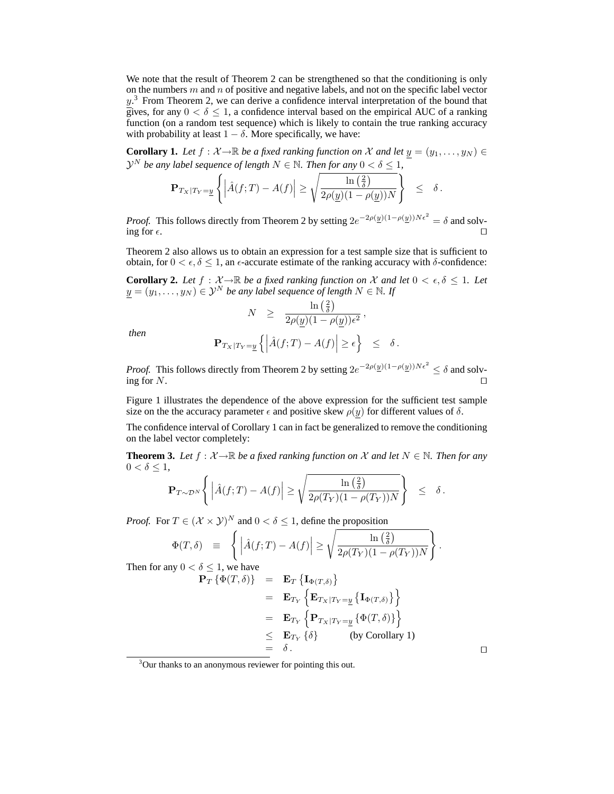We note that the result of Theorem 2 can be strengthened so that the conditioning is only on the numbers  $m$  and  $n$  of positive and negative labels, and not on the specific label vector  $y$ .<sup>3</sup> From Theorem 2, we can derive a confidence interval interpretation of the bound that gives, for any  $0 < \delta \leq 1$ , a confidence interval based on the empirical AUC of a ranking function (on a random test sequence) which is likely to contain the true ranking accuracy with probability at least  $1 - \delta$ . More specifically, we have:

**Corollary 1.** Let  $f : \mathcal{X} \to \mathbb{R}$  be a fixed ranking function on X and let  $y = (y_1, \ldots, y_N) \in$  $\mathcal{Y}^N$  *be any label sequence of length*  $N \in \mathbb{N}$ *. Then for any*  $0 < \delta \leq 1$ *,* 

$$
\mathbf{P}_{T_X|T_Y=\underline{y}}\left\{\left|\hat{A}(f;T)-A(f)\right|\geq \sqrt{\frac{\ln\left(\frac{2}{\delta}\right)}{2\rho(\underline{y})(1-\rho(\underline{y}))N}}\right\}\ \leq\ \delta\,.
$$

*Proof.* This follows directly from Theorem 2 by setting  $2e^{-2\rho(\underline{y})(1-\rho(\underline{y}))N\epsilon^2} = \delta$  and solving for  $\epsilon$ .

Theorem 2 also allows us to obtain an expression for a test sample size that is sufficient to obtain, for  $0 < \epsilon, \delta \leq 1$ , an  $\epsilon$ -accurate estimate of the ranking accuracy with  $\delta$ -confidence:

**Corollary 2.** Let  $f : \mathcal{X} \to \mathbb{R}$  be a fixed ranking function on X and let  $0 < \epsilon, \delta \leq 1$ . Let  $y = (y_1, \ldots, y_N) \in \mathcal{Y}^N$  *be any label sequence of length*  $N \in \mathbb{N}$ . If

$$
N \quad \geq \quad \frac{\ln\left(\frac{2}{\delta}\right)}{2\rho(\underline{y})(1-\rho(\underline{y}))\epsilon^2} \, ,
$$

*then*

$$
\mathbf{P}_{T_X|T_Y=\underline{y}}\left\{\left|\hat{A}(f;T)-A(f)\right|\geq \epsilon\right\} \quad \leq\quad \delta\,.
$$

*Proof.* This follows directly from Theorem 2 by setting  $2e^{-2\rho(\underline{y})(1-\rho(\underline{y}))N\epsilon^2} \le \delta$  and solving for N.  $\Box$ 

Figure 1 illustrates the dependence of the above expression for the sufficient test sample size on the the accuracy parameter  $\epsilon$  and positive skew  $\rho(y)$  for different values of  $\delta$ .

The confidence interval of Corollary 1 can in fact be generalized to remove the conditioning on the label vector completely:

**Theorem 3.** Let  $f : \mathcal{X} \to \mathbb{R}$  be a fixed ranking function on X and let  $N \in \mathbb{N}$ . Then for any  $0 < \delta \leq 1$ ,

$$
\mathbf{P}_{T\sim\mathcal{D}^N}\Bigg\{\Big|\hat{A}(f;T)-A(f)\Big|\geq \sqrt{\frac{\ln\left(\frac{2}{\delta}\right)}{2\rho(T_Y)(1-\rho(T_Y))N}}\Bigg\} \quad \leq \quad \delta\,.
$$

*Proof.* For  $T \in (\mathcal{X} \times \mathcal{Y})^N$  and  $0 < \delta \leq 1$ , define the proposition

$$
\Phi(T,\delta) \equiv \left\{ \left| \hat{A}(f;T) - A(f) \right| \ge \sqrt{\frac{\ln\left(\frac{2}{\delta}\right)}{2\rho(T_Y)(1-\rho(T_Y))N}} \right\}.
$$

Then for any  $0 < \delta \leq 1$ , we have

$$
\begin{array}{rcl}\n\mathbf{P}_T \left\{ \Phi(T, \delta) \right\} & = & \mathbf{E}_T \left\{ \mathbf{I}_{\Phi(T, \delta)} \right\} \\
& = & \mathbf{E}_{T_Y} \left\{ \mathbf{E}_{T_X | T_Y = \underline{y}} \left\{ \mathbf{I}_{\Phi(T, \delta)} \right\} \right\} \\
& = & \mathbf{E}_{T_Y} \left\{ \mathbf{P}_{T_X | T_Y = \underline{y}} \left\{ \Phi(T, \delta) \right\} \right\} \\
& \leq & \mathbf{E}_{T_Y} \left\{ \delta \right\} \qquad \text{(by Corollary 1)} \\
& = & \delta \,.\n\end{array}
$$

<sup>&</sup>lt;sup>3</sup>Our thanks to an anonymous reviewer for pointing this out.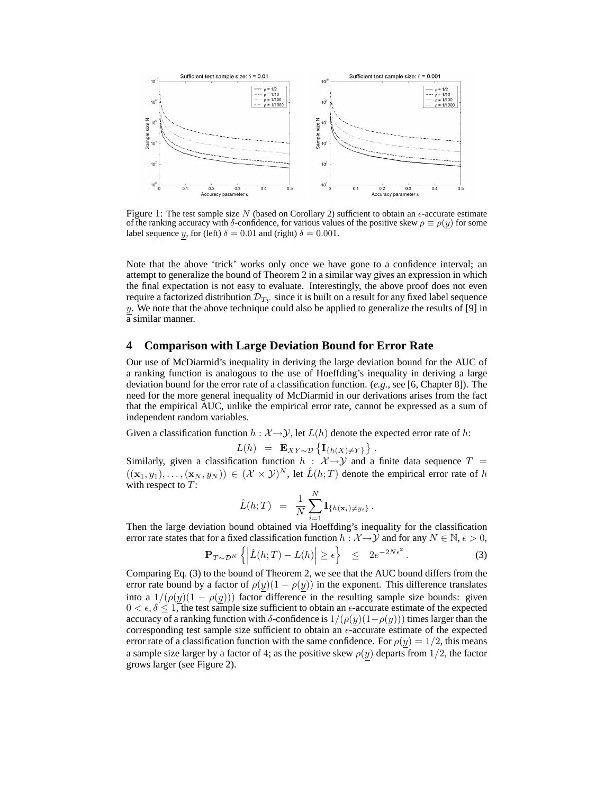

Figure 1: The test sample size N (based on Corollary 2) sufficient to obtain an  $\epsilon$ -accurate estimate of the ranking accuracy with  $\delta$ -confidence, for various values of the positive skew  $\rho \equiv \rho(y)$  for some label sequence y, for (left)  $\delta = 0.01$  and (right)  $\delta = 0.001$ .

Note that the above 'trick' works only once we have gone to a confidence interval; an attempt to generalize the bound of Theorem 2 in a similar way gives an expression in which the final expectation is not easy to evaluate. Interestingly, the above proof does not even require a factorized distribution  $\mathcal{D}_{T_Y}$  since it is built on a result for any fixed label sequence  $y$ . We note that the above technique could also be applied to generalize the results of [9] in a similar manner.

### **4 Comparison with Large Deviation Bound for Error Rate**

Our use of McDiarmid's inequality in deriving the large deviation bound for the AUC of a ranking function is analogous to the use of Hoeffding's inequality in deriving a large deviation bound for the error rate of a classification function. (*e.g.*, see [6, Chapter 8]). The need for the more general inequality of McDiarmid in our derivations arises from the fact that the empirical AUC, unlike the empirical error rate, cannot be expressed as a sum of independent random variables.

Given a classification function  $h : \mathcal{X} \rightarrow \mathcal{Y}$ , let  $L(h)$  denote the expected error rate of h:

$$
L(h) = \mathbf{E}_{XY\sim \mathcal{D}} \left\{ \mathbf{I}_{\{h(X)\neq Y\}} \right\}.
$$

Similarly, given a classification function  $h : \mathcal{X} \rightarrow \mathcal{Y}$  and a finite data sequence  $T =$  $((\mathbf{x}_1, y_1), \ldots, (\mathbf{x}_N, y_N)) \in (\mathcal{X} \times \mathcal{Y})^N$ , let  $\hat{L}(h;T)$  denote the empirical error rate of h with respect to  $T$ :

$$
\hat{L}(h;T) = \frac{1}{N} \sum_{i=1}^{N} \mathbf{I}_{\{h(\mathbf{x}_i) \neq y_i\}}.
$$

Then the large deviation bound obtained via Hoeffding's inequality for the classification error rate states that for a fixed classification function  $h : \mathcal{X} \to \mathcal{Y}$  and for any  $N \in \mathbb{N}$ ,  $\epsilon > 0$ ,

$$
\mathbf{P}_{T \sim \mathcal{D}^N} \left\{ \left| \hat{L}(h;T) - L(h) \right| \ge \epsilon \right\} \le 2e^{-2N\epsilon^2}.
$$
 (3)

Comparing Eq. (3) to the bound of Theorem 2, we see that the AUC bound differs from the error rate bound by a factor of  $\rho(y)(1 - \rho(y))$  in the exponent. This difference translates into a  $1/(\rho(y)(1 - \rho(y)))$  factor difference in the resulting sample size bounds: given  $0 < \epsilon, \delta \leq 1$ , the test sample size sufficient to obtain an  $\epsilon$ -accurate estimate of the expected accuracy of a ranking function with  $\delta$ -confidence is  $1/(\rho(y)(1-\rho(y)))$  times larger than the corresponding test sample size sufficient to obtain an  $\epsilon$ -accurate estimate of the expected error rate of a classification function with the same confidence. For  $\rho(y) = 1/2$ , this means a sample size larger by a factor of 4; as the positive skew  $\rho(y)$  departs from 1/2, the factor grows larger (see Figure 2).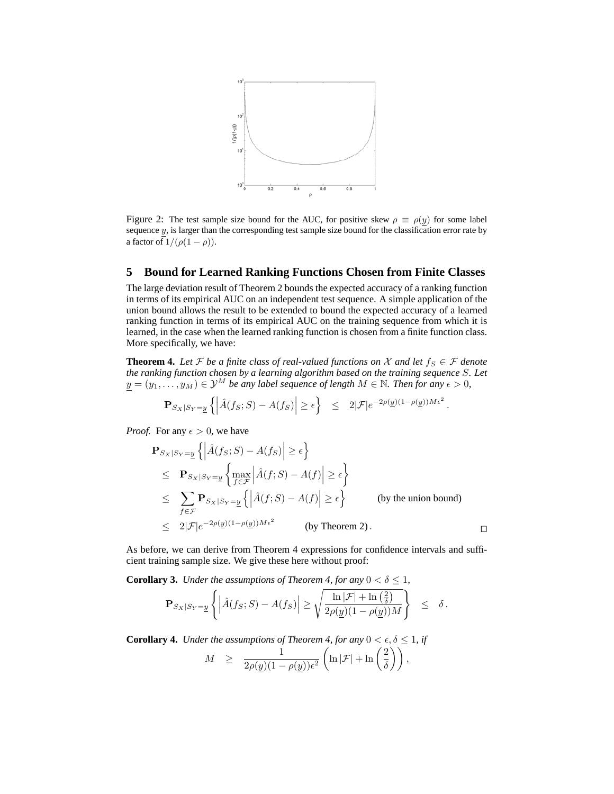

Figure 2: The test sample size bound for the AUC, for positive skew  $\rho \equiv \rho(y)$  for some label sequence  $y$ , is larger than the corresponding test sample size bound for the classification error rate by a factor of  $1/(\rho(1 - \rho)).$ 

# **5 Bound for Learned Ranking Functions Chosen from Finite Classes**

The large deviation result of Theorem 2 bounds the expected accuracy of a ranking function in terms of its empirical AUC on an independent test sequence. A simple application of the union bound allows the result to be extended to bound the expected accuracy of a learned ranking function in terms of its empirical AUC on the training sequence from which it is learned, in the case when the learned ranking function is chosen from a finite function class. More specifically, we have:

**Theorem 4.** Let F be a finite class of real-valued functions on X and let  $f_S \in \mathcal{F}$  denote *the ranking function chosen by a learning algorithm based on the training sequence* S*. Let*  $y = (y_1, \ldots, y_M) \in \mathcal{Y}^M$  *be any label sequence of length*  $M \in \mathbb{N}$ . Then for any  $\epsilon > 0$ ,

$$
\mathbf{P}_{S_X|S_Y=\underline{y}}\left\{ \left| \hat{A}(f_S;S) - A(f_S) \right| \ge \epsilon \right\} \le 2|\mathcal{F}|e^{-2\rho(\underline{y})(1-\rho(\underline{y}))M\epsilon^2}
$$

.

*Proof.* For any  $\epsilon > 0$ , we have

$$
\begin{aligned}\n\mathbf{P}_{S_X|S_Y=\underline{y}}\left\{ \left| \hat{A}(f_S;S) - A(f_S) \right| \ge \epsilon \right\} \\
&\le \mathbf{P}_{S_X|S_Y=\underline{y}}\left\{ \max_{f \in \mathcal{F}} \left| \hat{A}(f;S) - A(f) \right| \ge \epsilon \right\} \\
&\le \sum_{f \in \mathcal{F}} \mathbf{P}_{S_X|S_Y=\underline{y}}\left\{ \left| \hat{A}(f;S) - A(f) \right| \ge \epsilon \right\} \qquad \text{(by the union bound)} \\
&\le 2|\mathcal{F}|e^{-2\rho(\underline{y})(1-\rho(\underline{y}))M\epsilon^2} \qquad \text{(by Theorem 2)}.\n\end{aligned}
$$

As before, we can derive from Theorem 4 expressions for confidence intervals and sufficient training sample size. We give these here without proof:

**Corollary 3.** *Under the assumptions of Theorem 4, for any*  $0 < \delta \leq 1$ ,

$$
\mathbf{P}_{S_X|S_Y=\underline{y}}\left\{\left|\hat{A}(f_S;S)-A(f_S)\right|\geq \sqrt{\frac{\ln |\mathcal{F}|+\ln\left(\frac{2}{\delta}\right)}{2\rho(\underline{y})(1-\rho(\underline{y}))M}}\right\}\ \leq\ \delta\,.
$$

**Corollary 4.** *Under the assumptions of Theorem 4, for any*  $0 < \epsilon, \delta \leq 1$ , *if* 

$$
M \ge \frac{1}{2\rho(\underline{y})(1-\rho(\underline{y}))\epsilon^2} \left( \ln |\mathcal{F}| + \ln \left( \frac{2}{\delta} \right) \right),
$$